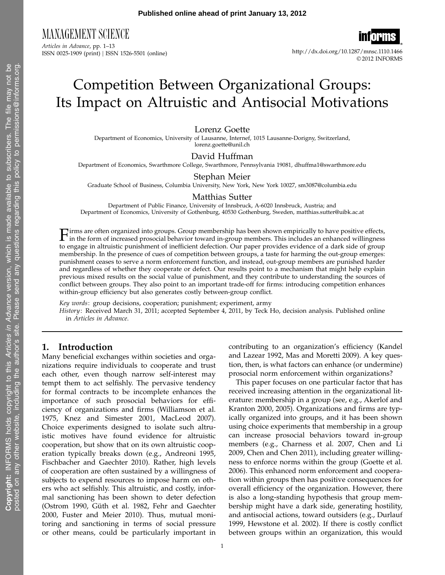MANAGEMENT SCIENCE

Articles in Advance, pp. 1–13 ISSN 0025-1909 (print) ISSN 1526-5501 (online) http://dx.doi.org/10.1287/mnsc.1110.1466



© 2012 INFORMS

# Competition Between Organizational Groups: Its Impact on Altruistic and Antisocial Motivations

## Lorenz Goette

Department of Economics, University of Lausanne, Internef, 1015 Lausanne-Dorigny, Switzerland, lorenz.goette@unil.ch

## David Huffman

Department of Economics, Swarthmore College, Swarthmore, Pennsylvania 19081, dhuffma1@swarthmore.edu

## Stephan Meier

Graduate School of Business, Columbia University, New York, New York 10027, sm3087@columbia.edu

## Matthias Sutter

Department of Public Finance, University of Innsbruck, A-6020 Innsbruck, Austria; and Department of Economics, University of Gothenburg, 40530 Gothenburg, Sweden, matthias.sutter@uibk.ac.at

 $\prod$ irms are often organized into groups. Group membership has been shown empirically to have positive effects, in the form of increased prosocial behavior toward in-group members. This includes an enhanced willingness to in the form of increased prosocial behavior toward in-group members. This includes an enhanced willingness to engage in altruistic punishment of inefficient defection. Our paper provides evidence of a dark side of group membership. In the presence of cues of competition between groups, a taste for harming the out-group emerges: punishment ceases to serve a norm enforcement function, and instead, out-group members are punished harder and regardless of whether they cooperate or defect. Our results point to a mechanism that might help explain previous mixed results on the social value of punishment, and they contribute to understanding the sources of conflict between groups. They also point to an important trade-off for firms: introducing competition enhances within-group efficiency but also generates costly between-group conflict.

Key words: group decisions, cooperation; punishment; experiment, army History: Received March 31, 2011; accepted September 4, 2011, by Teck Ho, decision analysis. Published online

in Articles in Advance.

# 1. Introduction

Many beneficial exchanges within societies and organizations require individuals to cooperate and trust each other, even though narrow self-interest may tempt them to act selfishly. The pervasive tendency for formal contracts to be incomplete enhances the importance of such prosocial behaviors for efficiency of organizations and firms (Williamson et al. 1975, Knez and Simester 2001, MacLeod 2007). Choice experiments designed to isolate such altruistic motives have found evidence for altruistic cooperation, but show that on its own altruistic cooperation typically breaks down (e.g., Andreoni 1995, Fischbacher and Gaechter 2010). Rather, high levels of cooperation are often sustained by a willingness of subjects to expend resources to impose harm on others who act selfishly. This altruistic, and costly, informal sanctioning has been shown to deter defection (Ostrom 1990, Güth et al. 1982, Fehr and Gaechter 2000, Fuster and Meier 2010). Thus, mutual monitoring and sanctioning in terms of social pressure or other means, could be particularly important in

contributing to an organization's efficiency (Kandel and Lazear 1992, Mas and Moretti 2009). A key question, then, is what factors can enhance (or undermine) prosocial norm enforcement within organizations?

This paper focuses on one particular factor that has received increasing attention in the organizational literature: membership in a group (see, e.g., Akerlof and Kranton 2000, 2005). Organizations and firms are typically organized into groups, and it has been shown using choice experiments that membership in a group can increase prosocial behaviors toward in-group members (e.g., Charness et al. 2007, Chen and Li 2009, Chen and Chen 2011), including greater willingness to enforce norms within the group (Goette et al. 2006). This enhanced norm enforcement and cooperation within groups then has positive consequences for overall efficiency of the organization. However, there is also a long-standing hypothesis that group membership might have a dark side, generating hostility, and antisocial actions, toward outsiders (e.g., Durlauf 1999, Hewstone et al. 2002). If there is costly conflict between groups within an organization, this would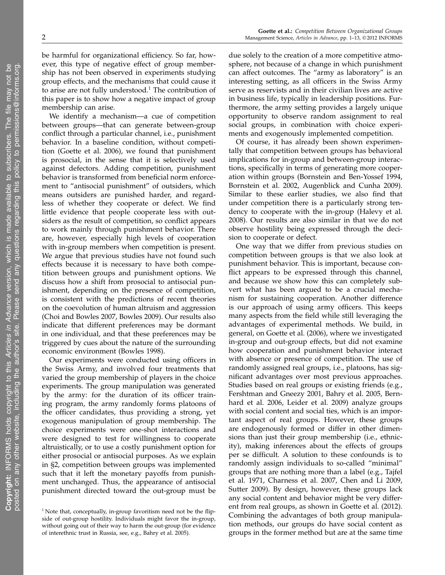be harmful for organizational efficiency. So far, however, this type of negative effect of group membership has not been observed in experiments studying group effects, and the mechanisms that could cause it to arise are not fully understood. $<sup>1</sup>$  The contribution of</sup> this paper is to show how a negative impact of group membership can arise.

We identify a mechanism—a cue of competition between groups—that can generate between-group conflict through a particular channel, i.e., punishment behavior. In a baseline condition, without competition (Goette et al. 2006), we found that punishment is prosocial, in the sense that it is selectively used against defectors. Adding competition, punishment behavior is transformed from beneficial norm enforcement to "antisocial punishment" of outsiders, which means outsiders are punished harder, and regardless of whether they cooperate or defect. We find little evidence that people cooperate less with outsiders as the result of competition, so conflict appears to work mainly through punishment behavior. There are, however, especially high levels of cooperation with in-group members when competition is present. We argue that previous studies have not found such effects because it is necessary to have both competition between groups and punishment options. We discuss how a shift from prosocial to antisocial punishment, depending on the presence of competition, is consistent with the predictions of recent theories on the coevolution of human altruism and aggression (Choi and Bowles 2007, Bowles 2009). Our results also indicate that different preferences may be dormant in one individual, and that these preferences may be triggered by cues about the nature of the surrounding economic environment (Bowles 1998).

Our experiments were conducted using officers in the Swiss Army, and involved four treatments that varied the group membership of players in the choice experiments. The group manipulation was generated by the army: for the duration of its officer training program, the army randomly forms platoons of the officer candidates, thus providing a strong, yet exogenous manipulation of group membership. The choice experiments were one-shot interactions and were designed to test for willingness to cooperate altruistically, or to use a costly punishment option for either prosocial or antisocial purposes. As we explain in §2, competition between groups was implemented such that it left the monetary payoffs from punishment unchanged. Thus, the appearance of antisocial punishment directed toward the out-group must be

due solely to the creation of a more competitive atmosphere, not because of a change in which punishment can affect outcomes. The "army as laboratory" is an interesting setting, as all officers in the Swiss Army serve as reservists and in their civilian lives are active in business life, typically in leadership positions. Furthermore, the army setting provides a largely unique opportunity to observe random assignment to real social groups, in combination with choice experiments and exogenously implemented competition.

Of course, it has already been shown experimentally that competition between groups has behavioral implications for in-group and between-group interactions, specifically in terms of generating more cooperation within groups (Bornstein and Ben-Yossef 1994, Bornstein et al. 2002, Augenblick and Cunha 2009). Similar to these earlier studies, we also find that under competition there is a particularly strong tendency to cooperate with the in-group (Halevy et al. 2008). Our results are also similar in that we do not observe hostility being expressed through the decision to cooperate or defect.

One way that we differ from previous studies on competition between groups is that we also look at punishment behavior. This is important, because conflict appears to be expressed through this channel, and because we show how this can completely subvert what has been argued to be a crucial mechanism for sustaining cooperation. Another difference is our approach of using army officers. This keeps many aspects from the field while still leveraging the advantages of experimental methods. We build, in general, on Goette et al. (2006), where we investigated in-group and out-group effects, but did not examine how cooperation and punishment behavior interact with absence or presence of competition. The use of randomly assigned real groups, i.e., platoons, has significant advantages over most previous approaches. Studies based on real groups or existing friends (e.g., Fershtman and Gneezy 2001, Bahry et al. 2005, Bernhard et al. 2006, Leider et al. 2009) analyze groups with social content and social ties, which is an important aspect of real groups. However, these groups are endogenously formed or differ in other dimensions than just their group membership (i.e., ethnicity), making inferences about the effects of groups per se difficult. A solution to these confounds is to randomly assign individuals to so-called "minimal" groups that are nothing more than a label (e.g., Tajfel et al. 1971, Charness et al. 2007, Chen and Li 2009, Sutter 2009). By design, however, these groups lack any social content and behavior might be very different from real groups, as shown in Goette et al. (2012). Combining the advantages of both group manipulation methods, our groups do have social content as groups in the former method but are at the same time

<sup>&</sup>lt;sup>1</sup> Note that, conceptually, in-group favoritism need not be the flipside of out-group hostility. Individuals might favor the in-group, without going out of their way to harm the out-group (for evidence of interethnic trust in Russia, see, e.g., Bahry et al. 2005).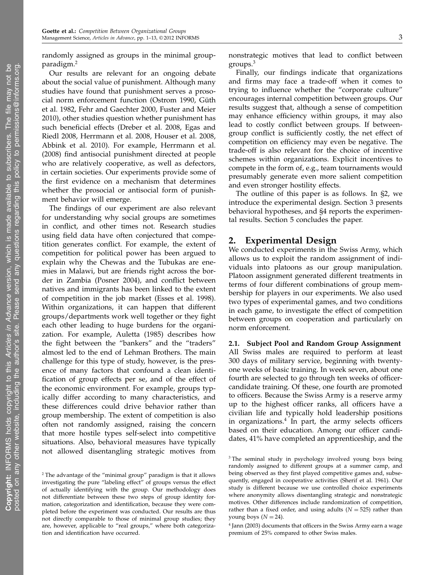randomly assigned as groups in the minimal groupparadigm.<sup>2</sup>

Our results are relevant for an ongoing debate about the social value of punishment. Although many studies have found that punishment serves a prosocial norm enforcement function (Ostrom 1990, Güth et al. 1982, Fehr and Gaechter 2000, Fuster and Meier 2010), other studies question whether punishment has such beneficial effects (Dreber et al. 2008, Egas and Riedl 2008, Herrmann et al. 2008, Houser et al. 2008, Abbink et al. 2010). For example, Herrmann et al. (2008) find antisocial punishment directed at people who are relatively cooperative, as well as defectors, in certain societies. Our experiments provide some of the first evidence on a mechanism that determines whether the prosocial or antisocial form of punishment behavior will emerge.

The findings of our experiment are also relevant for understanding why social groups are sometimes in conflict, and other times not. Research studies using field data have often conjectured that competition generates conflict. For example, the extent of competition for political power has been argued to explain why the Chewas and the Tubukas are enemies in Malawi, but are friends right across the border in Zambia (Posner 2004), and conflict between natives and immigrants has been linked to the extent of competition in the job market (Esses et al. 1998). Within organizations, it can happen that different groups/departments work well together or they fight each other leading to huge burdens for the organization. For example, Auletta (1985) describes how the fight between the "bankers" and the "traders" almost led to the end of Lehman Brothers. The main challenge for this type of study, however, is the presence of many factors that confound a clean identification of group effects per se, and of the effect of the economic environment. For example, groups typically differ according to many characteristics, and these differences could drive behavior rather than group membership. The extent of competition is also often not randomly assigned, raising the concern that more hostile types self-select into competitive situations. Also, behavioral measures have typically not allowed disentangling strategic motives from

<sup>2</sup> The advantage of the "minimal group" paradigm is that it allows investigating the pure "labeling effect" of groups versus the effect of actually identifying with the group. Our methodology does not differentiate between these two steps of group identity formation, categorization and identification, because they were completed before the experiment was conducted. Our results are thus not directly comparable to those of minimal group studies; they are, however, applicable to "real groups," where both categorization and identification have occurred.

nonstrategic motives that lead to conflict between groups.<sup>3</sup>

Finally, our findings indicate that organizations and firms may face a trade-off when it comes to trying to influence whether the "corporate culture" encourages internal competition between groups. Our results suggest that, although a sense of competition may enhance efficiency within groups, it may also lead to costly conflict between groups. If betweengroup conflict is sufficiently costly, the net effect of competition on efficiency may even be negative. The trade-off is also relevant for the choice of incentive schemes within organizations. Explicit incentives to compete in the form of, e.g., team tournaments would presumably generate even more salient competition and even stronger hostility effects.

The outline of this paper is as follows. In §2, we introduce the experimental design. Section 3 presents behavioral hypotheses, and §4 reports the experimental results. Section 5 concludes the paper.

## 2. Experimental Design

We conducted experiments in the Swiss Army, which allows us to exploit the random assignment of individuals into platoons as our group manipulation. Platoon assignment generated different treatments in terms of four different combinations of group membership for players in our experiments. We also used two types of experimental games, and two conditions in each game, to investigate the effect of competition between groups on cooperation and particularly on norm enforcement.

### 2.1. Subject Pool and Random Group Assignment

All Swiss males are required to perform at least 300 days of military service, beginning with twentyone weeks of basic training. In week seven, about one fourth are selected to go through ten weeks of officercandidate training. Of these, one fourth are promoted to officers. Because the Swiss Army is a reserve army up to the highest officer ranks, all officers have a civilian life and typically hold leadership positions in organizations.<sup>4</sup> In part, the army selects officers based on their education. Among our officer candidates, 41% have completed an apprenticeship, and the

<sup>&</sup>lt;sup>3</sup> The seminal study in psychology involved young boys being randomly assigned to different groups at a summer camp, and being observed as they first played competitive games and, subsequently, engaged in cooperative activities (Sherif et al. 1961). Our study is different because we use controlled choice experiments where anonymity allows disentangling strategic and nonstrategic motives. Other differences include randomization of competition, rather than a fixed order, and using adults ( $N = 525$ ) rather than young boys  $(N = 24)$ .

<sup>4</sup> Jann (2003) documents that officers in the Swiss Army earn a wage premium of 25% compared to other Swiss males.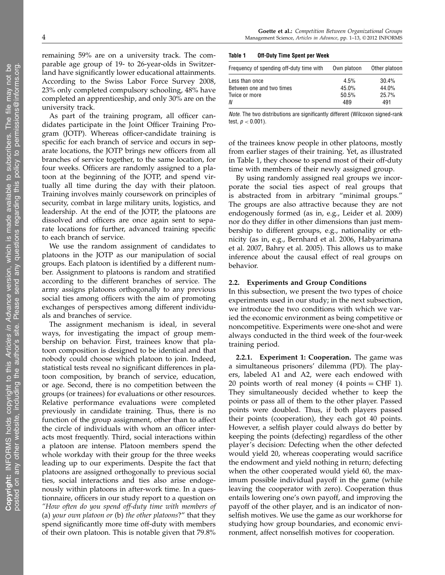remaining 59% are on a university track. The comparable age group of 19- to 26-year-olds in Switzerland have significantly lower educational attainments. According to the Swiss Labor Force Survey 2008, 23% only completed compulsory schooling, 48% have completed an apprenticeship, and only 30% are on the university track.

As part of the training program, all officer candidates participate in the Joint Officer Training Program (JOTP). Whereas officer-candidate training is specific for each branch of service and occurs in separate locations, the JOTP brings new officers from all branches of service together, to the same location, for four weeks. Officers are randomly assigned to a platoon at the beginning of the JOTP, and spend virtually all time during the day with their platoon. Training involves mainly coursework on principles of security, combat in large military units, logistics, and leadership. At the end of the JOTP, the platoons are dissolved and officers are once again sent to separate locations for further, advanced training specific to each branch of service.

We use the random assignment of candidates to platoons in the JOTP as our manipulation of social groups. Each platoon is identified by a different number. Assignment to platoons is random and stratified according to the different branches of service. The army assigns platoons orthogonally to any previous social ties among officers with the aim of promoting exchanges of perspectives among different individuals and branches of service.

The assignment mechanism is ideal, in several ways, for investigating the impact of group membership on behavior. First, trainees know that platoon composition is designed to be identical and that nobody could choose which platoon to join. Indeed, statistical tests reveal no significant differences in platoon composition, by branch of service, education, or age. Second, there is no competition between the groups (or trainees) for evaluations or other resources. Relative performance evaluations were completed previously in candidate training. Thus, there is no function of the group assignment, other than to affect the circle of individuals with whom an officer interacts most frequently. Third, social interactions within a platoon are intense. Platoon members spend the whole workday with their group for the three weeks leading up to our experiments. Despite the fact that platoons are assigned orthogonally to previous social ties, social interactions and ties also arise endogenously within platoons in after-work time. In a questionnaire, officers in our study report to a question on "How often do you spend off-duty time with members of (a) your own platoon or (b) the other platoons?" that they spend significantly more time off-duty with members of their own platoon. This is notable given that 79.8%

| Table 1 |  | Off-Duty Time Spent per Week |
|---------|--|------------------------------|
|---------|--|------------------------------|

| Frequency of spending off-duty time with | Own platoon | Other platoon |  |
|------------------------------------------|-------------|---------------|--|
| Less than once                           | 4.5%        | 30.4%         |  |
| Between one and two times                | 45.0%       | 44.0%         |  |
| Twice or more                            | 50.5%       | 25.7%         |  |
| N                                        | 489         | 491           |  |

Note. The two distributions are significantly different (Wilcoxon signed-rank test,  $p < 0.001$ ).

of the trainees know people in other platoons, mostly from earlier stages of their training. Yet, as illustrated in Table 1, they choose to spend most of their off-duty time with members of their newly assigned group.

By using randomly assigned real groups we incorporate the social ties aspect of real groups that is abstracted from in arbitrary "minimal groups." The groups are also attractive because they are not endogenously formed (as in, e.g., Leider et al. 2009) nor do they differ in other dimensions than just membership to different groups, e.g., nationality or ethnicity (as in, e.g., Bernhard et al. 2006, Habyarimana et al. 2007, Bahry et al. 2005). This allows us to make inference about the causal effect of real groups on behavior.

#### 2.2. Experiments and Group Conditions

In this subsection, we present the two types of choice experiments used in our study; in the next subsection, we introduce the two conditions with which we varied the economic environment as being competitive or noncompetitive. Experiments were one-shot and were always conducted in the third week of the four-week training period.

2.2.1. Experiment 1: Cooperation. The game was a simultaneous prisoners' dilemma (PD). The players, labeled A1 and A2, were each endowed with 20 points worth of real money  $(4 \text{ points} = \text{CHF } 1)$ . They simultaneously decided whether to keep the points or pass all of them to the other player. Passed points were doubled. Thus, if both players passed their points (cooperation), they each got 40 points. However, a selfish player could always do better by keeping the points (defecting) regardless of the other player's decision: Defecting when the other defected would yield 20, whereas cooperating would sacrifice the endowment and yield nothing in return; defecting when the other cooperated would yield 60, the maximum possible individual payoff in the game (while leaving the cooperator with zero). Cooperation thus entails lowering one's own payoff, and improving the payoff of the other player, and is an indicator of nonselfish motives. We use the game as our workhorse for studying how group boundaries, and economic environment, affect nonselfish motives for cooperation.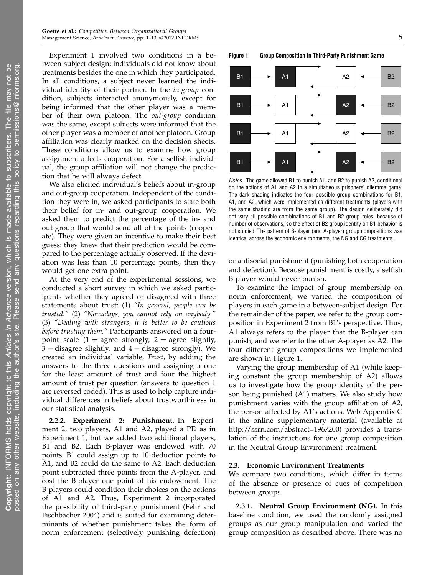Experiment 1 involved two conditions in a between-subject design; individuals did not know about treatments besides the one in which they participated. In all conditions, a subject never learned the individual identity of their partner. In the in-group condition, subjects interacted anonymously, except for being informed that the other player was a member of their own platoon. The out-group condition was the same, except subjects were informed that the other player was a member of another platoon. Group affiliation was clearly marked on the decision sheets. These conditions allow us to examine how group assignment affects cooperation. For a selfish individual, the group affiliation will not change the prediction that he will always defect.

We also elicited individual's beliefs about in-group and out-group cooperation. Independent of the condition they were in, we asked participants to state both their belief for in- and out-group cooperation. We asked them to predict the percentage of the in- and out-group that would send all of the points (cooperate). They were given an incentive to make their best guess: they knew that their prediction would be compared to the percentage actually observed. If the deviation was less than 10 percentage points, then they would get one extra point.

At the very end of the experimental sessions, we conducted a short survey in which we asked participants whether they agreed or disagreed with three statements about trust: (1) "In general, people can be trusted." (2) "Nowadays, you cannot rely on anybody." (3) "Dealing with strangers, it is better to be cautious before trusting them." Participants answered on a fourpoint scale  $(1 = \text{agree strongly}, 2 = \text{agree slightly},$  $3 =$  disagree slightly, and  $4 =$  disagree strongly). We created an individual variable, Trust, by adding the answers to the three questions and assigning a one for the least amount of trust and four the highest amount of trust per question (answers to question 1 are reversed coded). This is used to help capture individual differences in beliefs about trustworthiness in our statistical analysis.

2.2.2. Experiment 2: Punishment. In Experiment 2, two players, A1 and A2, played a PD as in Experiment 1, but we added two additional players, B1 and B2. Each B-player was endowed with 70 points. B1 could assign up to 10 deduction points to A1, and B2 could do the same to A2. Each deduction point subtracted three points from the A-player, and cost the B-player one point of his endowment. The B-players could condition their choices on the actions of A1 and A2. Thus, Experiment 2 incorporated the possibility of third-party punishment (Fehr and Fischbacher 2004) and is suited for examining determinants of whether punishment takes the form of norm enforcement (selectively punishing defection)

#### Figure 1 Group Composition in Third-Party Punishment Game



Notes. The game allowed B1 to punish A1, and B2 to punish A2, conditional on the actions of A1 and A2 in a simultaneous prisoners' dilemma game. The dark shading indicates the four possible group combinations for B1, A1, and A2, which were implemented as different treatments (players with the same shading are from the same group). The design deliberately did not vary all possible combinations of B1 and B2 group roles, because of number of observations, so the effect of B2 group identity on B1 behavior is not studied. The pattern of B-player (and A-player) group compositions was identical across the economic environments, the NG and CG treatments.

or antisocial punishment (punishing both cooperation and defection). Because punishment is costly, a selfish B-player would never punish.

To examine the impact of group membership on norm enforcement, we varied the composition of players in each game in a between-subject design. For the remainder of the paper, we refer to the group composition in Experiment 2 from B1's perspective. Thus, A1 always refers to the player that the B-player can punish, and we refer to the other A-player as A2. The four different group compositions we implemented are shown in Figure 1.

Varying the group membership of A1 (while keeping constant the group membership of A2) allows us to investigate how the group identity of the person being punished (A1) matters. We also study how punishment varies with the group affiliation of A2, the person affected by A1's actions. Web Appendix C in the online supplementary material (available at http://ssrn.com/abstract=1967200) provides a translation of the instructions for one group composition in the Neutral Group Environment treatment.

#### 2.3. Economic Environment Treatments

We compare two conditions, which differ in terms of the absence or presence of cues of competition between groups.

2.3.1. Neutral Group Environment (NG). In this baseline condition, we used the randomly assigned groups as our group manipulation and varied the group composition as described above. There was no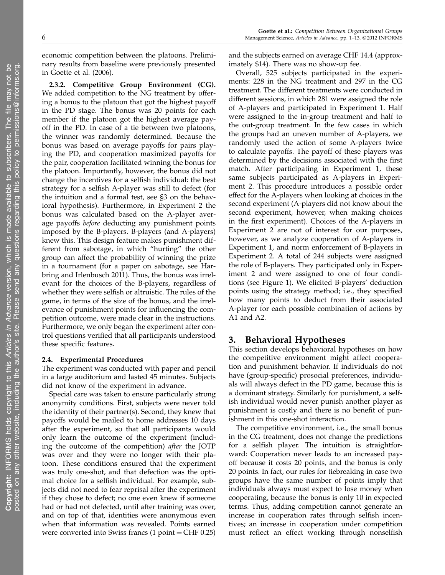economic competition between the platoons. Preliminary results from baseline were previously presented in Goette et al. (2006).

2.3.2. Competitive Group Environment (CG). We added competition to the NG treatment by offering a bonus to the platoon that got the highest payoff in the PD stage. The bonus was 20 points for each member if the platoon got the highest average payoff in the PD. In case of a tie between two platoons, the winner was randomly determined. Because the bonus was based on average payoffs for pairs playing the PD, and cooperation maximized payoffs for the pair, cooperation facilitated winning the bonus for the platoon. Importantly, however, the bonus did not change the incentives for a selfish individual: the best strategy for a selfish A-player was still to defect (for the intuition and a formal test, see §3 on the behavioral hypothesis). Furthermore, in Experiment 2 the bonus was calculated based on the A-player average payoffs before deducting any punishment points imposed by the B-players. B-players (and A-players) knew this. This design feature makes punishment different from sabotage, in which "hurting" the other group can affect the probability of winning the prize in a tournament (for a paper on sabotage, see Harbring and Irlenbusch 2011). Thus, the bonus was irrelevant for the choices of the B-players, regardless of whether they were selfish or altruistic. The rules of the game, in terms of the size of the bonus, and the irrelevance of punishment points for influencing the competition outcome, were made clear in the instructions. Furthermore, we only began the experiment after control questions verified that all participants understood these specific features.

#### 2.4. Experimental Procedures

The experiment was conducted with paper and pencil in a large auditorium and lasted 45 minutes. Subjects did not know of the experiment in advance.

Special care was taken to ensure particularly strong anonymity conditions. First, subjects were never told the identity of their partner(s). Second, they knew that payoffs would be mailed to home addresses 10 days after the experiment, so that all participants would only learn the outcome of the experiment (including the outcome of the competition) after the JOTP was over and they were no longer with their platoon. These conditions ensured that the experiment was truly one-shot, and that defection was the optimal choice for a selfish individual. For example, subjects did not need to fear reprisal after the experiment if they chose to defect; no one even knew if someone had or had not defected, until after training was over, and on top of that, identities were anonymous even when that information was revealed. Points earned were converted into Swiss francs (1 point = CHF 0.25)

and the subjects earned on average CHF 14.4 (approximately \$14). There was no show-up fee.

Overall, 525 subjects participated in the experiments: 228 in the NG treatment and 297 in the CG treatment. The different treatments were conducted in different sessions, in which 281 were assigned the role of A-players and participated in Experiment 1. Half were assigned to the in-group treatment and half to the out-group treatment. In the few cases in which the groups had an uneven number of A-players, we randomly used the action of some A-players twice to calculate payoffs. The payoff of these players was determined by the decisions associated with the first match. After participating in Experiment 1, these same subjects participated as A-players in Experiment 2. This procedure introduces a possible order effect for the A-players when looking at choices in the second experiment (A-players did not know about the second experiment, however, when making choices in the first experiment). Choices of the A-players in Experiment 2 are not of interest for our purposes, however, as we analyze cooperation of A-players in Experiment 1, and norm enforcement of B-players in Experiment 2. A total of 244 subjects were assigned the role of B-players. They participated only in Experiment 2 and were assigned to one of four conditions (see Figure 1). We elicited B-players' deduction points using the strategy method; i.e., they specified how many points to deduct from their associated A-player for each possible combination of actions by A1 and A2.

## 3. Behavioral Hypotheses

This section develops behavioral hypotheses on how the competitive environment might affect cooperation and punishment behavior. If individuals do not have (group-specific) prosocial preferences, individuals will always defect in the PD game, because this is a dominant strategy. Similarly for punishment, a selfish individual would never punish another player as punishment is costly and there is no benefit of punishment in this one-shot interaction.

The competitive environment, i.e., the small bonus in the CG treatment, does not change the predictions for a selfish player. The intuition is straightforward: Cooperation never leads to an increased payoff because it costs 20 points, and the bonus is only 20 points. In fact, our rules for tiebreaking in case two groups have the same number of points imply that individuals always must expect to lose money when cooperating, because the bonus is only 10 in expected terms. Thus, adding competition cannot generate an increase in cooperation rates through selfish incentives; an increase in cooperation under competition must reflect an effect working through nonselfish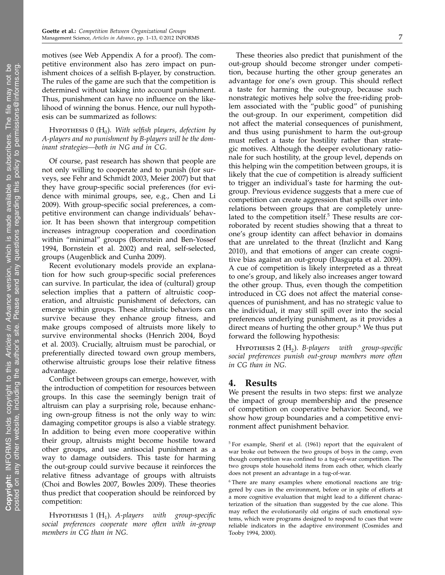motives (see Web Appendix A for a proof). The competitive environment also has zero impact on punishment choices of a selfish B-player, by construction. The rules of the game are such that the competition is determined without taking into account punishment. Thus, punishment can have no influence on the likelihood of winning the bonus. Hence, our null hypothesis can be summarized as follows:

## Hypothesis 0 (H<sub>0</sub>). With selfish players, defection by A-players and no punishment by B-players will be the dominant strategies—both in NG and in CG.

Of course, past research has shown that people are not only willing to cooperate and to punish (for surveys, see Fehr and Schmidt 2003, Meier 2007) but that they have group-specific social preferences (for evidence with minimal groups, see, e.g., Chen and Li 2009). With group-specific social preferences, a competitive environment can change individuals' behavior. It has been shown that intergroup competition increases intragroup cooperation and coordination within "minimal" groups (Bornstein and Ben-Yossef 1994, Bornstein et al. 2002) and real, self-selected, groups (Augenblick and Cunha 2009).

Recent evolutionary models provide an explanation for how such group-specific social preferences can survive. In particular, the idea of (cultural) group selection implies that a pattern of altruistic cooperation, and altruistic punishment of defectors, can emerge within groups. These altruistic behaviors can survive because they enhance group fitness, and make groups composed of altruists more likely to survive environmental shocks (Henrich 2004, Boyd et al. 2003). Crucially, altruism must be parochial, or preferentially directed toward own group members, otherwise altruistic groups lose their relative fitness advantage.

Conflict between groups can emerge, however, with the introduction of competition for resources between groups. In this case the seemingly benign trait of altruism can play a surprising role, because enhancing own-group fitness is not the only way to win: damaging competitor groups is also a viable strategy. In addition to being even more cooperative within their group, altruists might become hostile toward other groups, and use antisocial punishment as a way to damage outsiders. This taste for harming the out-group could survive because it reinforces the relative fitness advantage of groups with altruists (Choi and Bowles 2007, Bowles 2009). These theories thus predict that cooperation should be reinforced by competition:

HYPOTHESIS 1  $(H_1)$ . A-players with group-specific social preferences cooperate more often with in-group members in CG than in NG.

These theories also predict that punishment of the out-group should become stronger under competition, because hurting the other group generates an advantage for one's own group. This should reflect a taste for harming the out-group, because such nonstrategic motives help solve the free-riding problem associated with the "public good" of punishing the out-group. In our experiment, competition did not affect the material consequences of punishment, and thus using punishment to harm the out-group must reflect a taste for hostility rather than strategic motives. Although the deeper evolutionary rationale for such hostility, at the group level, depends on this helping win the competition between groups, it is likely that the cue of competition is already sufficient to trigger an individual's taste for harming the outgroup. Previous evidence suggests that a mere cue of competition can create aggression that spills over into relations between groups that are completely unrelated to the competition itself.<sup>5</sup> These results are corroborated by recent studies showing that a threat to one's group identity can affect behavior in domains that are unrelated to the threat (Inzlicht and Kang 2010), and that emotions of anger can create cognitive bias against an out-group (Dasgupta et al. 2009). A cue of competition is likely interpreted as a threat to one's group, and likely also increases anger toward the other group. Thus, even though the competition introduced in CG does not affect the material consequences of punishment, and has no strategic value to the individual, it may still spill over into the social preferences underlying punishment, as it provides a direct means of hurting the other group.<sup>6</sup> We thus put forward the following hypothesis:

 $H$ <sup>2</sup> Hypothesis 2 ( $H_2$ ). *B-players with group-specific* social preferences punish out-group members more often in CG than in NG.

# 4. Results

We present the results in two steps: first we analyze the impact of group membership and the presence of competition on cooperative behavior. Second, we show how group boundaries and a competitive environment affect punishment behavior.

<sup>5</sup> For example, Sherif et al. (1961) report that the equivalent of war broke out between the two groups of boys in the camp, even though competition was confined to a tug-of-war competition. The two groups stole household items from each other, which clearly does not present an advantage in a tug-of-war.

<sup>&</sup>lt;sup>6</sup> There are many examples where emotional reactions are triggered by cues in the environment, before or in spite of efforts at a more cognitive evaluation that might lead to a different characterization of the situation than suggested by the cue alone. This may reflect the evolutionarily old origins of such emotional systems, which were programs designed to respond to cues that were reliable indicators in the adaptive environment (Cosmides and Tooby 1994, 2000).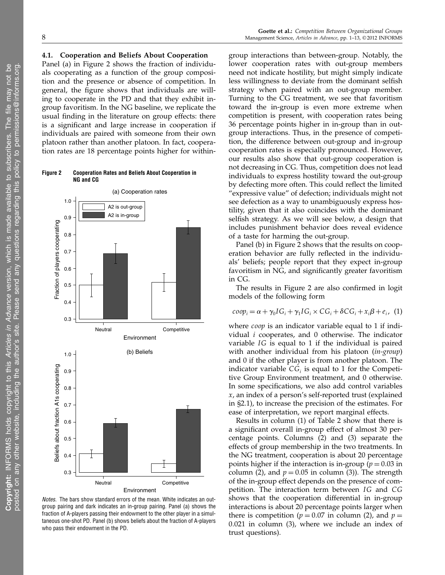#### 4.1. Cooperation and Beliefs About Cooperation

Panel (a) in Figure 2 shows the fraction of individuals cooperating as a function of the group composition and the presence or absence of competition. In general, the figure shows that individuals are willing to cooperate in the PD and that they exhibit ingroup favoritism. In the NG baseline, we replicate the usual finding in the literature on group effects: there is a significant and large increase in cooperation if individuals are paired with someone from their own platoon rather than another platoon. In fact, cooperation rates are 18 percentage points higher for within-

#### Figure 2 Cooperation Rates and Beliefs About Cooperation in NG and CG



Notes. The bars show standard errors of the mean. White indicates an outgroup pairing and dark indicates an in-group pairing. Panel (a) shows the fraction of A-players passing their endowment to the other player in a simultaneous one-shot PD. Panel (b) shows beliefs about the fraction of A-players who pass their endowment in the PD.

group interactions than between-group. Notably, the lower cooperation rates with out-group members need not indicate hostility, but might simply indicate less willingness to deviate from the dominant selfish strategy when paired with an out-group member. Turning to the CG treatment, we see that favoritism toward the in-group is even more extreme when competition is present, with cooperation rates being 36 percentage points higher in in-group than in outgroup interactions. Thus, in the presence of competition, the difference between out-group and in-group cooperation rates is especially pronounced. However, our results also show that out-group cooperation is not decreasing in CG. Thus, competition does not lead individuals to express hostility toward the out-group by defecting more often. This could reflect the limited "expressive value" of defection; individuals might not see defection as a way to unambiguously express hostility, given that it also coincides with the dominant selfish strategy. As we will see below, a design that includes punishment behavior does reveal evidence of a taste for harming the out-group.

Panel (b) in Figure 2 shows that the results on cooperation behavior are fully reflected in the individuals' beliefs; people report that they expect in-group favoritism in NG, and significantly greater favoritism in CG.

The results in Figure 2 are also confirmed in logit models of the following form

$$
coop_i = \alpha + \gamma_0 IG_i + \gamma_1 IG_i \times CG_i + \delta CG_i + x_i\beta + e_i, \quad (1)
$$

where *coop* is an indicator variable equal to 1 if individual  $i$  cooperates, and 0 otherwise. The indicator variable IG is equal to 1 if the individual is paired with another individual from his platoon (in-group) and 0 if the other player is from another platoon. The indicator variable  $CG<sub>i</sub>$  is equal to 1 for the Competitive Group Environment treatment, and 0 otherwise. In some specifications, we also add control variables x, an index of a person's self-reported trust (explained in §2.1), to increase the precision of the estimates. For ease of interpretation, we report marginal effects.

Results in column (1) of Table 2 show that there is a significant overall in-group effect of almost 30 percentage points. Columns (2) and (3) separate the effects of group membership in the two treatments. In the NG treatment, cooperation is about 20 percentage points higher if the interaction is in-group ( $p = 0.03$  in column (2), and  $p = 0.05$  in column (3)). The strength of the in-group effect depends on the presence of competition. The interaction term between IG and CG shows that the cooperation differential in in-group interactions is about 20 percentage points larger when there is competition ( $p = 0.07$  in column (2), and  $p =$  $0.021$  in column  $(3)$ , where we include an index of trust questions).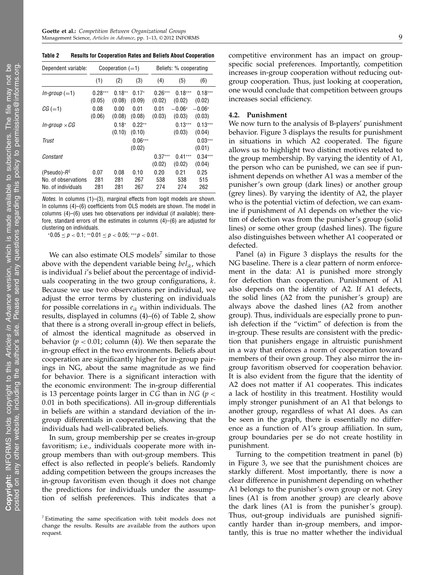Table 2 Results for Cooperation Rates and Beliefs About Cooperation

| Dependent variable:                                          | Cooperation $(=1)$  |                    | Beliefs: % cooperating |                     |                     |                     |
|--------------------------------------------------------------|---------------------|--------------------|------------------------|---------------------|---------------------|---------------------|
|                                                              | (1)                 | (2)                | (3)                    | (4)                 | (5)                 | (6)                 |
| $ln-qroup (=1)$                                              | $0.28***$<br>(0.05) | $0.18**$<br>(0.08) | $0.17*$<br>(0.09)      | $0.26***$<br>(0.02) | $0.18***$<br>(0.02) | $0.18***$<br>(0.02) |
| $CG (=1)$                                                    | 0.08<br>(0.06)      | 0.00<br>(0.08)     | 0.01<br>(0.08)         | 0.01<br>(0.03)      | $-0.06*$<br>(0.03)  | $-0.06*$<br>(0.03)  |
| In-group $\times CG$                                         |                     | $0.18*$<br>(0.10)  | $0.22**$<br>(0.10)     |                     | $0.13***$<br>(0.03) | $0.13***$<br>(0.04) |
| Trust                                                        |                     |                    | $0.06***$<br>(0.02)    |                     |                     | $0.03***$<br>(0.01) |
| Constant                                                     |                     |                    |                        | $0.37***$<br>(0.02) | $0.41***$<br>(0.02) | $0.34***$<br>(0.04) |
| (Pseudo)- $R^2$<br>No. of observations<br>No. of individuals | 0.07<br>281<br>281  | 0.08<br>281<br>281 | 0.10<br>267<br>267     | 0.20<br>538<br>274  | 0.21<br>538<br>274  | 0.25<br>515<br>262  |

Notes. In columns (1)–(3), marginal effects from logit models are shown. In columns (4)–(6) coefficients from OLS models are shown. The model in columns (4)–(6) uses two observations per individual (if available); therefore, standard errors of the estimates in columns (4)–(6) are adjusted for clustering on individuals.

 $*0.05 \le p < 0.1$ ;  $*0.01 \le p < 0.05$ ;  $** p < 0.01$ .

We can also estimate  $OLS$  models<sup>7</sup> similar to those above with the dependent variable being  $bel_{ik}$ , which is individual i's belief about the percentage of individuals cooperating in the two group configurations,  $k$ . Because we use two observations per individual, we adjust the error terms by clustering on individuals for possible correlations in  $e_{ik}$  within individuals. The results, displayed in columns (4)–(6) of Table 2, show that there is a strong overall in-group effect in beliefs, of almost the identical magnitude as observed in behavior ( $p < 0.01$ ; column (4)). We then separate the in-group effect in the two environments. Beliefs about cooperation are significantly higher for in-group pairings in NG, about the same magnitude as we find for behavior. There is a significant interaction with the economic environment: The in-group differential is 13 percentage points larger in  $CG$  than in NG ( $p <$ 0.01 in both specifications). All in-group differentials in beliefs are within a standard deviation of the ingroup differentials in cooperation, showing that the individuals had well-calibrated beliefs.

In sum, group membership per se creates in-group favoritism; i.e., individuals cooperate more with ingroup members than with out-group members. This effect is also reflected in people's beliefs. Randomly adding competition between the groups increases the in-group favoritism even though it does not change the predictions for individuals under the assumption of selfish preferences. This indicates that a

competitive environment has an impact on groupspecific social preferences. Importantly, competition increases in-group cooperation without reducing outgroup cooperation. Thus, just looking at cooperation, one would conclude that competition between groups increases social efficiency.

#### 4.2. Punishment

We now turn to the analysis of B-players' punishment behavior. Figure 3 displays the results for punishment in situations in which A2 cooperated. The figure allows us to highlight two distinct motives related to the group membership. By varying the identity of A1, the person who can be punished, we can see if punishment depends on whether A1 was a member of the punisher's own group (dark lines) or another group (grey lines). By varying the identity of A2, the player who is the potential victim of defection, we can examine if punishment of A1 depends on whether the victim of defection was from the punisher's group (solid lines) or some other group (dashed lines). The figure also distinguishes between whether A1 cooperated or defected.

Panel (a) in Figure 3 displays the results for the NG baseline. There is a clear pattern of norm enforcement in the data: A1 is punished more strongly for defection than cooperation. Punishment of A1 also depends on the identity of A2. If A1 defects, the solid lines (A2 from the punisher's group) are always above the dashed lines (A2 from another group). Thus, individuals are especially prone to punish defection if the "victim" of defection is from the in-group. These results are consistent with the prediction that punishers engage in altruistic punishment in a way that enforces a norm of cooperation toward members of their own group. They also mirror the ingroup favoritism observed for cooperation behavior. It is also evident from the figure that the identity of A2 does not matter if A1 cooperates. This indicates a lack of hostility in this treatment. Hostility would imply stronger punishment of an A1 that belongs to another group, regardless of what A1 does. As can be seen in the graph, there is essentially no difference as a function of A1's group affiliation. In sum, group boundaries per se do not create hostility in punishment.

Turning to the competition treatment in panel (b) in Figure 3, we see that the punishment choices are starkly different. Most importantly, there is now a clear difference in punishment depending on whether A1 belongs to the punisher's own group or not. Grey lines (A1 is from another group) are clearly above the dark lines (A1 is from the punisher's group). Thus, out-group individuals are punished significantly harder than in-group members, and importantly, this is true no matter whether the individual

<sup>&</sup>lt;sup>7</sup> Estimating the same specification with tobit models does not change the results. Results are available from the authors upon request.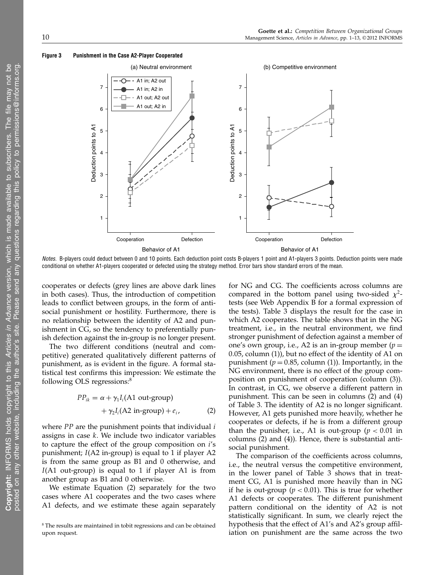

Notes. B-players could deduct between 0 and 10 points. Each deduction point costs B-players 1 point and A1-players 3 points. Deduction points were made conditional on whether A1-players cooperated or defected using the strategy method. Error bars show standard errors of the mean.

cooperates or defects (grey lines are above dark lines in both cases). Thus, the introduction of competition leads to conflict between groups, in the form of antisocial punishment or hostility. Furthermore, there is no relationship between the identity of A2 and punishment in CG, so the tendency to preferentially punish defection against the in-group is no longer present.

The two different conditions (neutral and competitive) generated qualitatively different patterns of punishment, as is evident in the figure. A formal statistical test confirms this impression: We estimate the following OLS regressions:<sup>8</sup>

$$
PP_{ik} = \alpha + \gamma_1 I_i \text{(A1 out-group)} + \gamma_2 I_i \text{(A2 in-group)} + e_i,
$$
 (2)

where  $PP$  are the punishment points that individual  $i$ assigns in case k. We include two indicator variables to capture the effect of the group composition on  $i$ 's punishment; I(A2 in-group) is equal to 1 if player A2 is from the same group as B1 and 0 otherwise, and  $I(A1$  out-group) is equal to 1 if player A1 is from another group as B1 and 0 otherwise.

We estimate Equation (2) separately for the two cases where A1 cooperates and the two cases where A1 defects, and we estimate these again separately for NG and CG. The coefficients across columns are compared in the bottom panel using two-sided  $\chi^2$ tests (see Web Appendix B for a formal expression of the tests). Table 3 displays the result for the case in which A2 cooperates. The table shows that in the NG treatment, i.e., in the neutral environment, we find stronger punishment of defection against a member of one's own group, i.e., A2 is an in-group member ( $p =$  $(0.05, \text{column} (1))$ , but no effect of the identity of A1 on punishment ( $p = 0.85$ , column (1)). Importantly, in the NG environment, there is no effect of the group composition on punishment of cooperation (column (3)). In contrast, in CG, we observe a different pattern in punishment. This can be seen in columns (2) and (4) of Table 3. The identity of A2 is no longer significant. However, A1 gets punished more heavily, whether he cooperates or defects, if he is from a different group than the punisher, i.e., A1 is out-group ( $p < 0.01$  in columns (2) and (4)). Hence, there is substantial antisocial punishment.

The comparison of the coefficients across columns, i.e., the neutral versus the competitive environment, in the lower panel of Table 3 shows that in treatment CG, A1 is punished more heavily than in NG if he is out-group ( $p < 0.01$ ). This is true for whether A1 defects or cooperates. The different punishment pattern conditional on the identity of A2 is not statistically significant. In sum, we clearly reject the hypothesis that the effect of A1's and A2's group affiliation on punishment are the same across the two

<sup>&</sup>lt;sup>8</sup> The results are maintained in tobit regressions and can be obtained upon request.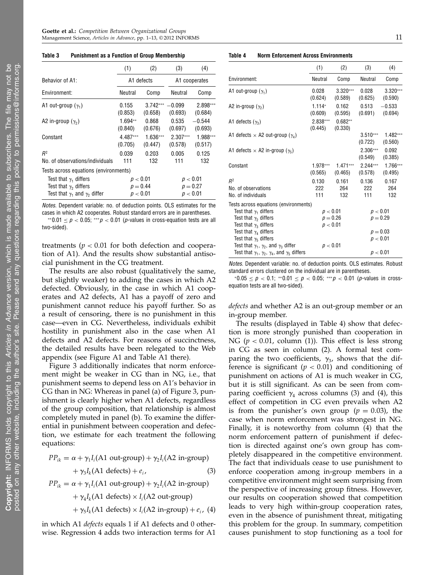| Table 3 |  |  | <b>Punishment as a Function of Group Membership</b> |  |
|---------|--|--|-----------------------------------------------------|--|
|---------|--|--|-----------------------------------------------------|--|

|                                                              | (1)                         | (2)                   | (3)                    | (4)                   |  |  |
|--------------------------------------------------------------|-----------------------------|-----------------------|------------------------|-----------------------|--|--|
| Behavior of A1:                                              | A1 defects<br>A1 cooperates |                       |                        |                       |  |  |
| Environment:                                                 | Neutral                     | Comp                  |                        | Comp                  |  |  |
| A1 out-group $(\gamma_1)$                                    | 0.155<br>(0.853)            | $3.742***$<br>(0.658) | $-0.099$<br>(0.693)    | 2.898***<br>(0.684)   |  |  |
| A2 in-group $(\gamma_2)$                                     | $1.694**$<br>(0.840)        | 0.868<br>(0.676)      | 0.535<br>(0.697)       | $-0.544$<br>(0.693)   |  |  |
| Constant                                                     | 4.487***<br>(0.705)         | $1.636***$<br>(0.447) | $2.307***$<br>(0.578)  | $1.988***$<br>(0.517) |  |  |
| $R^2$<br>No. of observations/individuals                     | 0.039<br>111                | 0.203<br>132          | 0.005<br>111           | 0.125<br>132          |  |  |
| Tests across equations (environments)                        |                             |                       |                        |                       |  |  |
| Test that $\gamma_1$ differs<br>Test that $\gamma$ , differs | p < 0.01                    |                       |                        | p < 0.01              |  |  |
| Test that $\gamma_1$ and $\gamma_2$ differ                   | $p = 0.44$<br>p < 0.01      |                       | $p = 0.27$<br>p < 0.01 |                       |  |  |

Notes. Dependent variable: no. of deduction points. OLS estimates for the cases in which A2 cooperates. Robust standard errors are in parentheses.

\*\*0.01 ≤  $p$  < 0.05; \*\*\* $p$  < 0.01 (p-values in cross-equation tests are all two-sided).

treatments ( $p < 0.01$  for both defection and cooperation of A1). And the results show substantial antisocial punishment in the CG treatment.

The results are also robust (qualitatively the same, but slightly weaker) to adding the cases in which A2 defected. Obviously, in the case in which A1 cooperates and A2 defects, A1 has a payoff of zero and punishment cannot reduce his payoff further. So as a result of censoring, there is no punishment in this case—even in CG. Nevertheless, individuals exhibit hostility in punishment also in the case when A1 defects and A2 defects. For reasons of succinctness, the detailed results have been relegated to the Web appendix (see Figure A1 and Table A1 there).

Figure 3 additionally indicates that norm enforcement might be weaker in CG than in NG, i.e., that punishment seems to depend less on A1's behavior in CG than in NG: Whereas in panel (a) of Figure 3, punishment is clearly higher when A1 defects, regardless of the group composition, that relationship is almost completely muted in panel (b). To examine the differential in punishment between cooperation and defection, we estimate for each treatment the following equations:

$$
PP_{ik} = \alpha + \gamma_1 I_i \text{(A1 out-group)} + \gamma_2 I_i \text{(A2 in-group)} + \gamma_3 I_k \text{(A1 defects)} + e_i,
$$
 (3)

$$
PP_{ik} = \alpha + \gamma_1 I_i \text{(A1 out-group)} + \gamma_2 I_i \text{(A2 in-group)} + \gamma_4 I_k \text{(A1 defects)} \times I_i \text{(A2 out-group)} + \gamma_5 I_k \text{(A1 defects)} \times I_i \text{(A2 in-group)} + e_i, \text{(4)}
$$

in which A1 defects equals 1 if A1 defects and 0 otherwise. Regression 4 adds two interaction terms for A1

| Table 4 | <b>Norm Enforcement Across Environments</b> |  |
|---------|---------------------------------------------|--|
|         |                                             |  |

|                                                                                                                                       | (1)                                | (2)                   | (3)                    | (4)                   |
|---------------------------------------------------------------------------------------------------------------------------------------|------------------------------------|-----------------------|------------------------|-----------------------|
| Environment:                                                                                                                          | Neutral                            | Comp                  | Neutral                | Comp                  |
| A1 out-group $(\gamma_1)$                                                                                                             | 0.028<br>(0.624)                   | $3.320***$<br>(0.589) | 0.028<br>(0.625)       | 3.320***<br>(0.590)   |
| A2 in-group $(\gamma_2)$                                                                                                              | $1.114*$<br>(0.609)                | 0.162<br>(0.595)      | 0.513<br>(0.691)       | $-0.533$<br>(0.694)   |
| A1 defects $(\gamma_3)$                                                                                                               | $2.838***$<br>(0.445)              | $0.682**$<br>(0.330)  |                        |                       |
| A1 defects $\times$ A2 out-group ( $\gamma_4$ )                                                                                       |                                    |                       | $3.510***$<br>(0.722)  | $1.482***$<br>(0.560) |
| A1 defects $\times$ A2 in-group ( $\gamma_5$ )                                                                                        |                                    |                       | $2.306***$<br>(0.549)  | 0.092<br>(0.385)      |
| Constant                                                                                                                              | $1.978***$<br>(0.565)              | $1.471***$<br>(0.465) | $2.244***$<br>(0.578)  | $1.766***$<br>(0.495) |
| R <sup>2</sup><br>No. of observations<br>No. of individuals                                                                           | 0.130<br>222<br>111                | 0.161<br>264<br>132   | 0.136<br>222<br>111    | 0.167<br>264<br>132   |
| Tests across equations (environments)<br>Test that $\gamma_1$ differs<br>Test that $\gamma_2$ differs<br>Test that $\gamma_3$ differs | p < 0.01<br>$p = 0.26$<br>p < 0.01 |                       | p < 0.01<br>$p = 0.29$ |                       |
| Test that $\gamma_4$ differs<br>Test that $\gamma_5$ differs<br>Test that $\gamma_1$ , $\gamma_2$ , and $\gamma_3$ differ             | p < 0.01                           |                       | $p = 0.03$<br>p < 0.01 |                       |
| Test that $\gamma_1$ , $\gamma_2$ , $\gamma_4$ , and $\gamma_5$ differs                                                               |                                    |                       | p < 0.01               |                       |

Notes. Dependent variable: no. of deduction points. OLS estimates. Robust standard errors clustered on the individual are in parentheses.

 $*0.05 \le p < 0.1$ ; \*\* $0.01 \le p < 0.05$ ; \*\*\* $p < 0.01$  (p-values in crossequation tests are all two-sided).

defects and whether A2 is an out-group member or an in-group member.

The results (displayed in Table 4) show that defection is more strongly punished than cooperation in NG ( $p < 0.01$ , column (1)). This effect is less strong in CG as seen in column (2). A formal test comparing the two coefficients,  $\gamma_3$ , shows that the difference is significant ( $p < 0.01$ ) and conditioning of punishment on actions of A1 is much weaker in CG, but it is still significant. As can be seen from comparing coefficient  $\gamma_4$  across columns (3) and (4), this effect of competition in CG even prevails when A2 is from the punisher's own group ( $p = 0.03$ ), the case when norm enforcement was strongest in NG. Finally, it is noteworthy from column (4) that the norm enforcement pattern of punishment if defection is directed against one's own group has completely disappeared in the competitive environment. The fact that individuals cease to use punishment to enforce cooperation among in-group members in a competitive environment might seem surprising from the perspective of increasing group fitness. However, our results on cooperation showed that competition leads to very high within-group cooperation rates, even in the absence of punishment threat, mitigating this problem for the group. In summary, competition causes punishment to stop functioning as a tool for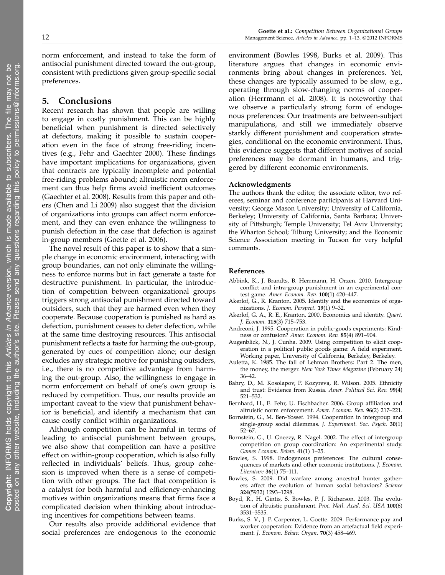norm enforcement, and instead to take the form of antisocial punishment directed toward the out-group, consistent with predictions given group-specific social preferences.

# 5. Conclusions

Recent research has shown that people are willing to engage in costly punishment. This can be highly beneficial when punishment is directed selectively at defectors, making it possible to sustain cooperation even in the face of strong free-riding incentives (e.g., Fehr and Gaechter 2000). These findings have important implications for organizations, given that contracts are typically incomplete and potential free-riding problems abound; altruistic norm enforcement can thus help firms avoid inefficient outcomes (Gaechter et al. 2008). Results from this paper and others (Chen and Li 2009) also suggest that the division of organizations into groups can affect norm enforcement, and they can even enhance the willingness to punish defection in the case that defection is against in-group members (Goette et al. 2006).

The novel result of this paper is to show that a simple change in economic environment, interacting with group boundaries, can not only eliminate the willingness to enforce norms but in fact generate a taste for destructive punishment. In particular, the introduction of competition between organizational groups triggers strong antisocial punishment directed toward outsiders, such that they are harmed even when they cooperate. Because cooperation is punished as hard as defection, punishment ceases to deter defection, while at the same time destroying resources. This antisocial punishment reflects a taste for harming the out-group, generated by cues of competition alone; our design excludes any strategic motive for punishing outsiders, i.e., there is no competitive advantage from harming the out-group. Also, the willingness to engage in norm enforcement on behalf of one's own group is reduced by competition. Thus, our results provide an important caveat to the view that punishment behavior is beneficial, and identify a mechanism that can cause costly conflict within organizations.

Although competition can be harmful in terms of leading to antisocial punishment between groups, we also show that competition can have a positive effect on within-group cooperation, which is also fully reflected in individuals' beliefs. Thus, group cohesion is improved when there is a sense of competition with other groups. The fact that competition is a catalyst for both harmful and efficiency-enhancing motives within organizations means that firms face a complicated decision when thinking about introducing incentives for competitions between teams.

Our results also provide additional evidence that social preferences are endogenous to the economic

environment (Bowles 1998, Burks et al. 2009). This literature argues that changes in economic environments bring about changes in preferences. Yet, these changes are typically assumed to be slow, e.g., operating through slow-changing norms of cooperation (Herrmann et al. 2008). It is noteworthy that we observe a particularly strong form of endogenous preferences: Our treatments are between-subject manipulations, and still we immediately observe starkly different punishment and cooperation strategies, conditional on the economic environment. Thus, this evidence suggests that different motives of social preferences may be dormant in humans, and triggered by different economic environments.

#### Acknowledgments

The authors thank the editor, the associate editor, two referees, seminar and conference participants at Harvard University; George Mason University; University of California, Berkeley; University of California, Santa Barbara; University of Pittsburgh; Temple University; Tel Aviv University; the Wharton School; Tilburg University; and the Economic Science Association meeting in Tucson for very helpful comments.

#### References

- Abbink, K., J. Brandts, B. Herrmann, H. Orzen. 2010. Intergroup conflict and intra-group punishment in an experimental contest game. Amer. Econom. Rev. 100(1) 420–447.
- Akerlof, G., R. Kranton. 2005. Identity and the economics of organizations. J. Econom. Perspect. 19(1) 9–32.
- Akerlof, G. A., R. E., Kranton. 2000. Economics and identity. Quart. J. Econom. 115(3) 715–753.
- Andreoni, J. 1995. Cooperation in public-goods experiments: Kindness or confusion? Amer. Econom. Rev. 85(4) 891–904.
- Augenblick, N., J. Cunha. 2009. Using competition to elicit cooperation in a political public goods game: A field experiment. Working paper, University of California, Berkeley, Berkeley.
- Auletta, K. 1985. The fall of Lehman Brothers: Part 2. The men, the money, the merger. New York Times Magazine (February 24) 36–42.
- Bahry, D., M. Kosolapov, P. Kozyreva, R. Wilson. 2005. Ethnicity and trust: Evidence from Russia. Amer. Political Sci. Rev. 99(4) 521–532.
- Bernhard, H., E. Fehr, U. Fischbacher. 2006. Group affiliation and altruistic norm enforcement. Amer. Econom. Rev. 96(2) 217–221.
- Bornstein, G., M. Ben-Yossef. 1994. Cooperation in intergroup and single-group social dilemmas. J. Experiment. Soc. Psych. 30(1) 52–67.
- Bornstein, G., U. Gneezy, R. Nagel. 2002. The effect of intergroup competition on group coordination: An experimental study. Games Econom. Behav. 41(1) 1–25.
- Bowles, S. 1998. Endogenous preferences: The cultural consequences of markets and other economic institutions. J. Econom. Literature 36(1) 75–111.
- Bowles, S. 2009. Did warfare among ancestral hunter gatherers affect the evolution of human social behaviors? Science 324(5932) 1293–1298.
- Boyd, R., H. Gintis, S. Bowles, P. J. Richerson. 2003. The evolution of altruistic punishment. Proc. Natl. Acad. Sci. USA 100(6) 3531–3535.
- Burks, S. V., J. P. Carpenter, L. Goette. 2009. Performance pay and worker cooperation: Evidence from an artefactual field experiment. J. Econom. Behav. Organ. 70(3) 458–469.